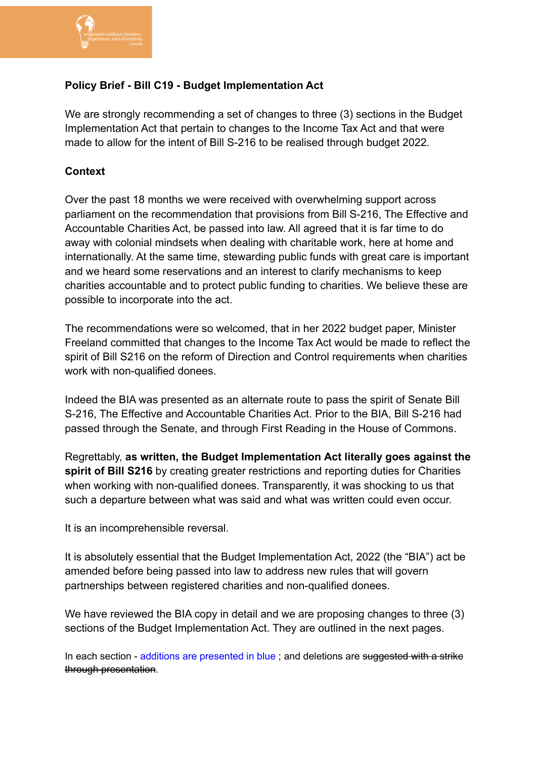

# **Policy Brief - Bill C19 - Budget Implementation Act**

We are strongly recommending a set of changes to three (3) sections in the Budget Implementation Act that pertain to changes to the Income Tax Act and that were made to allow for the intent of Bill S-216 to be realised through budget 2022.

## **Context**

Over the past 18 months we were received with overwhelming support across parliament on the recommendation that provisions from Bill S-216, The Effective and Accountable Charities Act, be passed into law. All agreed that it is far time to do away with colonial mindsets when dealing with charitable work, here at home and internationally. At the same time, stewarding public funds with great care is important and we heard some reservations and an interest to clarify mechanisms to keep charities accountable and to protect public funding to charities. We believe these are possible to incorporate into the act.

The recommendations were so welcomed, that in her 2022 budget paper, Minister Freeland committed that changes to the Income Tax Act would be made to reflect the spirit of Bill S216 on the reform of Direction and Control requirements when charities work with non-qualified donees.

Indeed the BIA was presented as an alternate route to pass the spirit of Senate Bill S-216, The Effective and Accountable Charities Act. Prior to the BIA, Bill S-216 had passed through the Senate, and through First Reading in the House of Commons.

Regrettably, **as written, the Budget Implementation Act literally goes against the spirit of Bill S216** by creating greater restrictions and reporting duties for Charities when working with non-qualified donees. Transparently, it was shocking to us that such a departure between what was said and what was written could even occur.

It is an incomprehensible reversal.

It is absolutely essential that the Budget Implementation Act, 2022 (the "BIA") act be amended before being passed into law to address new rules that will govern partnerships between registered charities and non-qualified donees.

We have reviewed the BIA copy in detail and we are proposing changes to three (3) sections of the Budget Implementation Act. They are outlined in the next pages.

In each section - additions are presented in blue ; and deletions are suggested with a strike through presentation.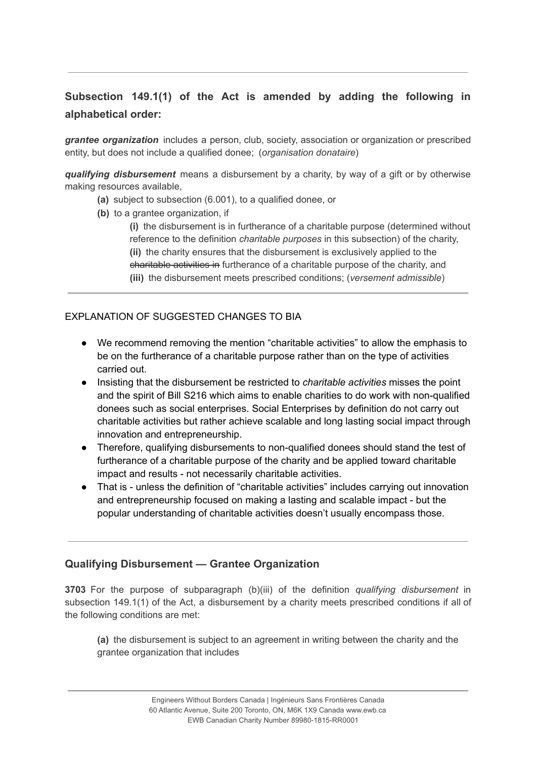# **Subsection 149.1(1) of the Act is amended by adding the following in alphabetical order:**

*grantee organization* includes a person, club, society, association or organization or prescribed entity, but does not include a qualified donee; (*organisation donataire*)

*qualifying disbursement* means a disbursement by a charity, by way of a gift or by otherwise making resources available,

- **(a)** subject to subsection (6.001), to a qualified donee, or
- **(b)** to a grantee organization, if

**(i)** the disbursement is in furtherance of a charitable purpose (determined without reference to the definition *charitable purposes* in this subsection) of the charity, **(ii)** the charity ensures that the disbursement is exclusively applied to the charitable activities in furtherance of a charitable purpose of the charity, and **(iii)** the disbursement meets prescribed conditions; (*versement admissible*)

#### EXPLANATION OF SUGGESTED CHANGES TO BIA

- We recommend removing the mention "charitable activities" to allow the emphasis to be on the furtherance of a charitable purpose rather than on the type of activities carried out.
- Insisting that the disbursement be restricted to *charitable activities* misses the point and the spirit of Bill S216 which aims to enable charities to do work with non-qualified donees such as social enterprises. Social Enterprises by definition do not carry out charitable activities but rather achieve scalable and long lasting social impact through innovation and entrepreneurship.
- Therefore, qualifying disbursements to non-qualified donees should stand the test of furtherance of a charitable purpose of the charity and be applied toward charitable impact and results - not necessarily charitable activities.
- That is unless the definition of "charitable activities" includes carrying out innovation and entrepreneurship focused on making a lasting and scalable impact - but the popular understanding of charitable activities doesn't usually encompass those.

### **Qualifying Disbursement — Grantee Organization**

**3703** For the purpose of subparagraph (b)(iii) of the definition *qualifying disbursement* in subsection 149.1(1) of the Act, a disbursement by a charity meets prescribed conditions if all of the following conditions are met:

**(a)** the disbursement is subject to an agreement in writing between the charity and the grantee organization that includes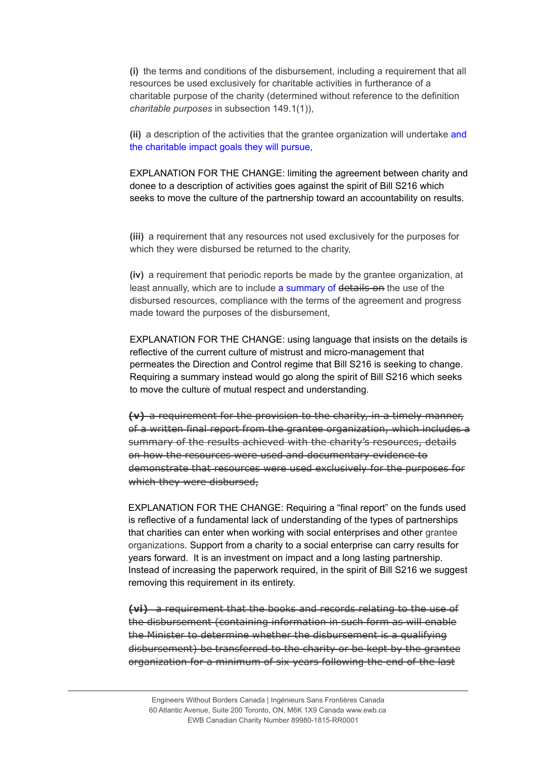**(i)** the terms and conditions of the disbursement, including a requirement that all resources be used exclusively for charitable activities in furtherance of a charitable purpose of the charity (determined without reference to the definition *charitable purposes* in subsection 149.1(1)),

**(ii)** a description of the activities that the grantee organization will undertake and the charitable impact goals they will pursue,

EXPLANATION FOR THE CHANGE: limiting the agreement between charity and donee to a description of activities goes against the spirit of Bill S216 which seeks to move the culture of the partnership toward an accountability on results.

**(iii)** a requirement that any resources not used exclusively for the purposes for which they were disbursed be returned to the charity,

**(iv)** a requirement that periodic reports be made by the grantee organization, at least annually, which are to include a summary of details on the use of the disbursed resources, compliance with the terms of the agreement and progress made toward the purposes of the disbursement,

EXPLANATION FOR THE CHANGE: using language that insists on the details is reflective of the current culture of mistrust and micro-management that permeates the Direction and Control regime that Bill S216 is seeking to change. Requiring a summary instead would go along the spirit of Bill S216 which seeks to move the culture of mutual respect and understanding.

**(v)** a requirement for the provision to the charity, in a timely manner, of a written final report from the grantee organization, which includes a summary of the results achieved with the charity's resources, details on how the resources were used and documentary evidence to demonstrate that resources were used exclusively for the purposes for which they were disbursed,

EXPLANATION FOR THE CHANGE: Requiring a "final report" on the funds used is reflective of a fundamental lack of understanding of the types of partnerships that charities can enter when working with social enterprises and other grantee organizations. Support from a charity to a social enterprise can carry results for years forward. It is an investment on impact and a long lasting partnership. Instead of increasing the paperwork required, in the spirit of Bill S216 we suggest removing this requirement in its entirety.

**(vi)** a requirement that the books and records relating to the use of the disbursement (containing information in such form as will enable the Minister to determine whether the disbursement is a qualifying disbursement) be transferred to the charity or be kept by the grantee organization for a minimum of six years following the end of the last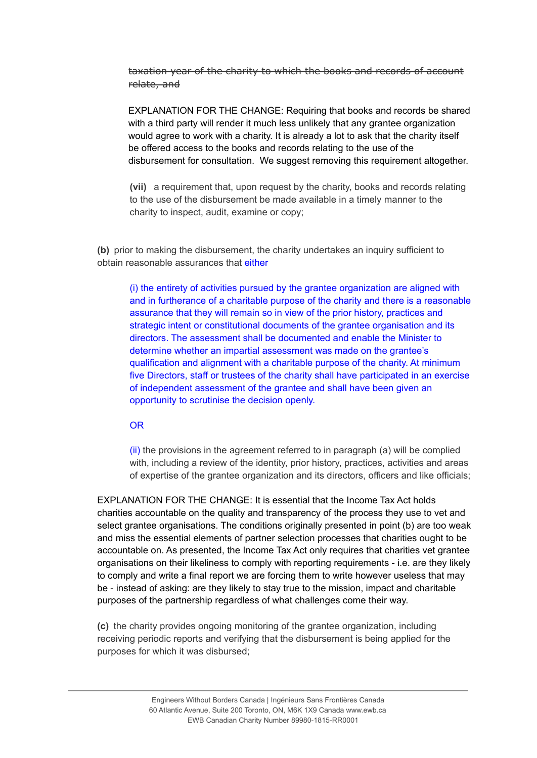taxation year of the charity to which the books and records of account relate, and

EXPLANATION FOR THE CHANGE: Requiring that books and records be shared with a third party will render it much less unlikely that any grantee organization would agree to work with a charity. It is already a lot to ask that the charity itself be offered access to the books and records relating to the use of the disbursement for consultation. We suggest removing this requirement altogether.

**(vii)**  a requirement that, upon request by the charity, books and records relating to the use of the disbursement be made available in a timely manner to the charity to inspect, audit, examine or copy;

**(b)** prior to making the disbursement, the charity undertakes an inquiry sufficient to obtain reasonable assurances that either

(i) the entirety of activities pursued by the grantee organization are aligned with and in furtherance of a charitable purpose of the charity and there is a reasonable assurance that they will remain so in view of the prior history, practices and strategic intent or constitutional documents of the grantee organisation and its directors. The assessment shall be documented and enable the Minister to determine whether an impartial assessment was made on the grantee's qualification and alignment with a charitable purpose of the charity. At minimum five Directors, staff or trustees of the charity shall have participated in an exercise of independent assessment of the grantee and shall have been given an opportunity to scrutinise the decision openly.

OR

 $(iii)$  the provisions in the agreement referred to in paragraph  $(a)$  will be complied with, including a review of the identity, prior history, practices, activities and areas of expertise of the grantee organization and its directors, officers and like officials;

EXPLANATION FOR THE CHANGE: It is essential that the Income Tax Act holds charities accountable on the quality and transparency of the process they use to vet and select grantee organisations. The conditions originally presented in point (b) are too weak and miss the essential elements of partner selection processes that charities ought to be accountable on. As presented, the Income Tax Act only requires that charities vet grantee organisations on their likeliness to comply with reporting requirements - i.e. are they likely to comply and write a final report we are forcing them to write however useless that may be - instead of asking: are they likely to stay true to the mission, impact and charitable purposes of the partnership regardless of what challenges come their way.

**(c)** the charity provides ongoing monitoring of the grantee organization, including receiving periodic reports and verifying that the disbursement is being applied for the purposes for which it was disbursed;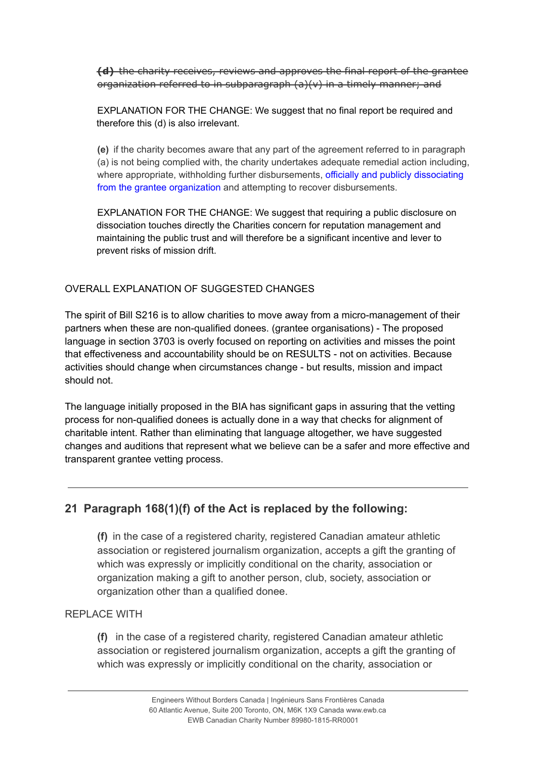**(d)** the charity receives, reviews and approves the final report of the grantee organization referred to in subparagraph (a)(v) in a timely manner; and

EXPLANATION FOR THE CHANGE: We suggest that no final report be required and therefore this (d) is also irrelevant.

**(e)** if the charity becomes aware that any part of the agreement referred to in paragraph (a) is not being complied with, the charity undertakes adequate remedial action including, where appropriate, withholding further disbursements, officially and publicly dissociating from the grantee organization and attempting to recover disbursements.

EXPLANATION FOR THE CHANGE: We suggest that requiring a public disclosure on dissociation touches directly the Charities concern for reputation management and maintaining the public trust and will therefore be a significant incentive and lever to prevent risks of mission drift.

## OVERALL EXPLANATION OF SUGGESTED CHANGES

The spirit of Bill S216 is to allow charities to move away from a micro-management of their partners when these are non-qualified donees. (grantee organisations) - The proposed language in section 3703 is overly focused on reporting on activities and misses the point that effectiveness and accountability should be on RESULTS - not on activities. Because activities should change when circumstances change - but results, mission and impact should not.

The language initially proposed in the BIA has significant gaps in assuring that the vetting process for non-qualified donees is actually done in a way that checks for alignment of charitable intent. Rather than eliminating that language altogether, we have suggested changes and auditions that represent what we believe can be a safer and more effective and transparent grantee vetting process.

# **21 Paragraph 168(1)(f) of the Act is replaced by the following:**

**(f)** in the case of a registered charity, registered Canadian amateur athletic association or registered journalism organization, accepts a gift the granting of which was expressly or implicitly conditional on the charity, association or organization making a gift to another person, club, society, association or organization other than a qualified donee.

# REPLACE WITH

**(f)** in the case of a registered charity, registered Canadian amateur athletic association or registered journalism organization, accepts a gift the granting of which was expressly or implicitly conditional on the charity, association or